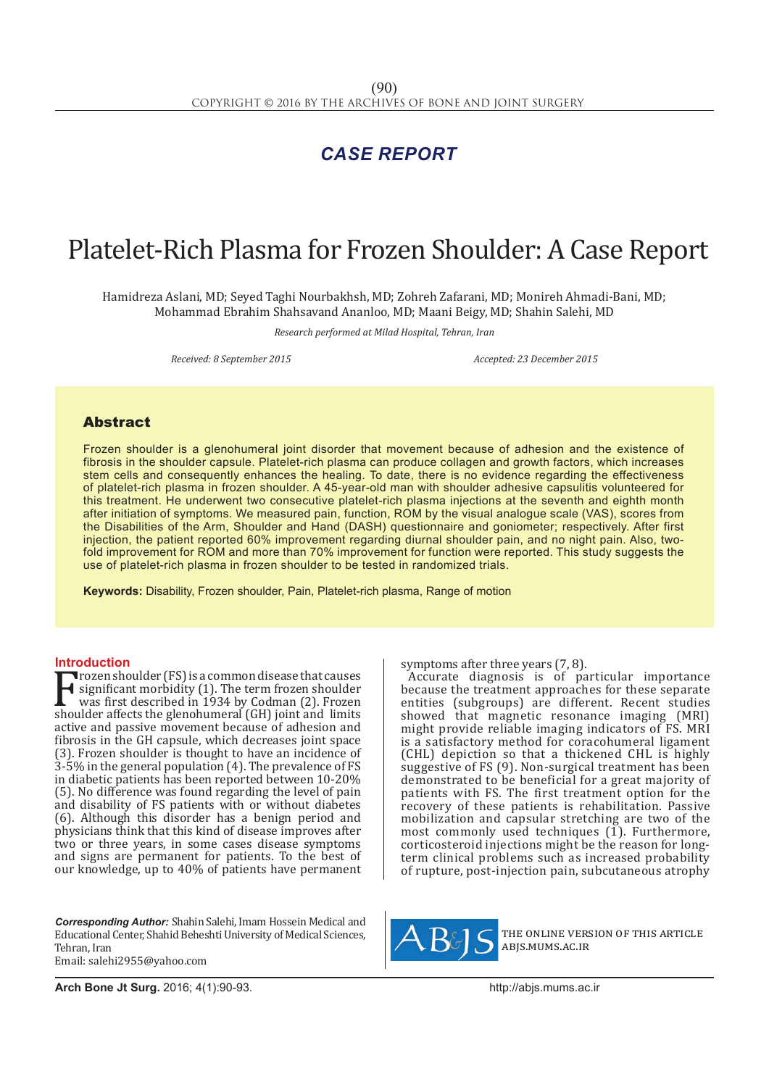## *CASE REPORT*

# Platelet-Rich Plasma for Frozen Shoulder: A Case Report

Hamidreza Aslani, MD; Seyed Taghi Nourbakhsh, MD; Zohreh Zafarani, MD; Monireh Ahmadi-Bani, MD; Mohammad Ebrahim Shahsavand Ananloo, MD; Maani Beigy, MD; Shahin Salehi, MD

*Research performed at Milad Hospital, Tehran, Iran*

*Received: 8 September 2015 Accepted: 23 December 2015*

### Abstract

Frozen shoulder is a glenohumeral joint disorder that movement because of adhesion and the existence of fibrosis in the shoulder capsule. Platelet-rich plasma can produce collagen and growth factors, which increases stem cells and consequently enhances the healing. To date, there is no evidence regarding the effectiveness of platelet-rich plasma in frozen shoulder. A 45-year-old man with shoulder adhesive capsulitis volunteered for this treatment. He underwent two consecutive platelet-rich plasma injections at the seventh and eighth month after initiation of symptoms. We measured pain, function, ROM by the visual analogue scale (VAS), scores from the Disabilities of the Arm, Shoulder and Hand (DASH) questionnaire and goniometer; respectively. After first injection, the patient reported 60% improvement regarding diurnal shoulder pain, and no night pain. Also, twofold improvement for ROM and more than 70% improvement for function were reported. This study suggests the use of platelet-rich plasma in frozen shoulder to be tested in randomized trials.

**Keywords:** Disability, Frozen shoulder, Pain, Platelet-rich plasma, Range of motion

**Introduction**<br>Trozen shoulder (FS) is a common disease that causes Frozen shoulder (FS) is a common disease that causes<br>significant morbidity (1). The term frozen shoulder<br>was first described in 1934 by Codman (2). Frozen<br>shoulder affects the glenohumeral (GH) joint and limits<br>active and significant morbidity (1). The term frozen shoulder was first described in 1934 by Codman (2). Frozen shoulder affects the glenohumeral (GH) joint and limits active and passive movement because of adhesion and fibrosis in the GH capsule, which decreases joint space (3). Frozen shoulder is thought to have an incidence of 3-5% in the general population (4). The prevalence of FS in diabetic patients has been reported between 10-20% (5). No difference was found regarding the level of pain and disability of FS patients with or without diabetes (6). Although this disorder has a benign period and physicians think that this kind of disease improves after two or three years, in some cases disease symptoms and signs are permanent for patients. To the best of our knowledge, up to 40% of patients have permanent

*Corresponding Author:* Shahin Salehi, Imam Hossein Medical and Educational Center, Shahid Beheshti University of Medical Sciences, Tehran, Iran Email: salehi2955@yahoo.com

symptoms after three years (7, 8).

Accurate diagnosis is of particular importance because the treatment approaches for these separate entities (subgroups) are different. Recent studies showed that magnetic resonance imaging (MRI) might provide reliable imaging indicators of FS. MRI is a satisfactory method for coracohumeral ligament (CHL) depiction so that a thickened CHL is highly suggestive of FS (9). Non-surgical treatment has been demonstrated to be beneficial for a great majority of patients with FS. The first treatment option for the recovery of these patients is rehabilitation. Passive mobilization and capsular stretching are two of the most commonly used techniques  $(1)$ . Furthermore, corticosteroid injections might be the reason for longterm clinical problems such as increased probability of rupture, post-injection pain, subcutaneous atrophy



the online version of this article abjs.mums.ac.ir

**Arch Bone Jt Surg.** 2016; 4(1):90-93.http://abjs.mums.ac.ir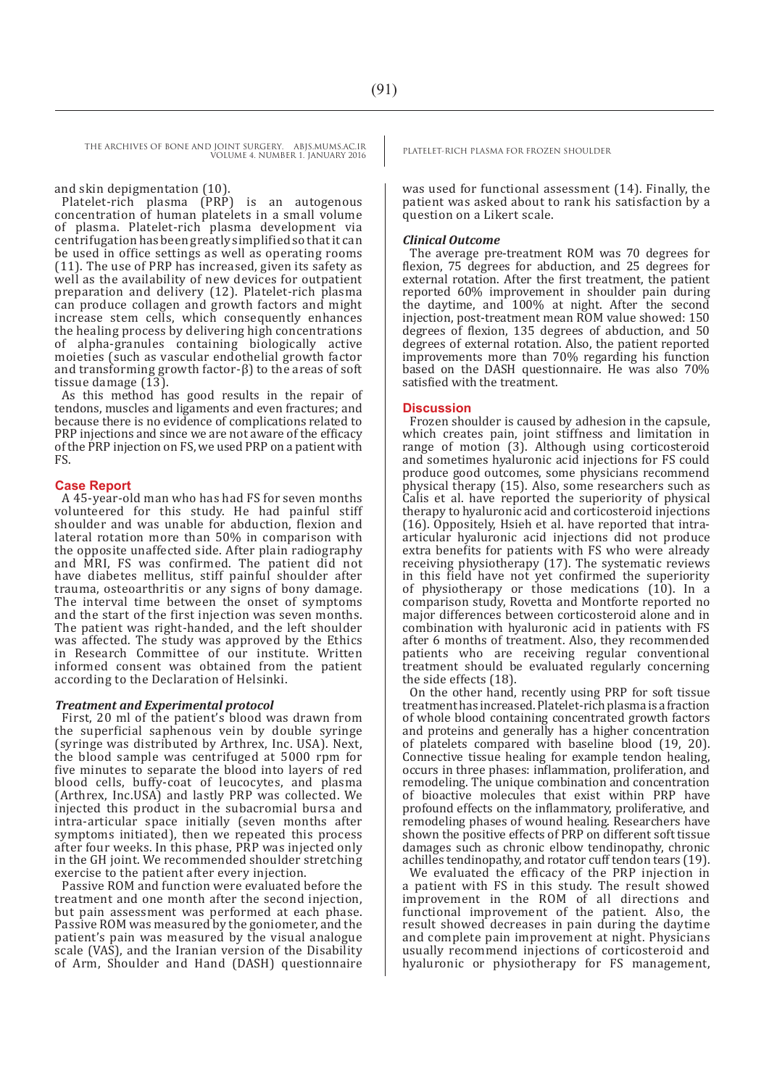THE ARCHIVES OF BONE AND JOINT SURGERY. ABJS.MUMS.AC.IR PLATELET-RICH PLASMA FOR FROZEN SHOULDER VOLUME 4. NUMBER 1. JANUARY 2016

#### and skin depigmentation (10).

Platelet-rich plasma (PRP) is an autogenous concentration of human platelets in a small volume of plasma. Platelet-rich plasma development via centrifugation has been greatly simplified so that it can be used in office settings as well as operating rooms (11). The use of PRP has increased, given its safety as well as the availability of new devices for outpatient preparation and delivery (12). Platelet-rich plasma can produce collagen and growth factors and might increase stem cells, which consequently enhances the healing process by delivering high concentrations of alpha-granules containing biologically active moieties (such as vascular endothelial growth factor and transforming growth factor-β) to the areas of soft tissue damage (13).

As this method has good results in the repair of tendons, muscles and ligaments and even fractures; and because there is no evidence of complications related to PRP injections and since we are not aware of the efficacy of the PRP injection on FS, we used PRP on a patient with FS.

#### **Case Report**

A 45-year-old man who has had FS for seven months volunteered for this study. He had painful stiff shoulder and was unable for abduction, flexion and lateral rotation more than 50% in comparison with the opposite unaffected side. After plain radiography and MRI, FS was confirmed. The patient did not have diabetes mellitus, stiff painful shoulder after trauma, osteoarthritis or any signs of bony damage. The interval time between the onset of symptoms and the start of the first injection was seven months. The patient was right-handed, and the left shoulder was affected. The study was approved by the Ethics in Research Committee of our institute. Written informed consent was obtained from the patient according to the Declaration of Helsinki.

#### *Treatment and Experimental protocol*

First, 20 ml of the patient's blood was drawn from the superficial saphenous vein by double syringe (syringe was distributed by Arthrex, Inc. USA). Next, the blood sample was centrifuged at 5000 rpm for five minutes to separate the blood into layers of red blood cells, buffy-coat of leucocytes, and plasma (Arthrex, Inc.USA) and lastly PRP was collected. We injected this product in the subacromial bursa and intra-articular space initially (seven months after symptoms initiated), then we repeated this process after four weeks. In this phase, PRP was injected only in the GH joint. We recommended shoulder stretching exercise to the patient after every injection.

Passive ROM and function were evaluated before the treatment and one month after the second injection, but pain assessment was performed at each phase. Passive ROM was measured by the goniometer, and the patient's pain was measured by the visual analogue scale (VAS), and the Iranian version of the Disability of Arm, Shoulder and Hand (DASH) questionnaire

was used for functional assessment (14). Finally, the patient was asked about to rank his satisfaction by a question on a Likert scale.

#### *Clinical Outcome*

The average pre-treatment ROM was 70 degrees for flexion, 75 degrees for abduction, and 25 degrees for external rotation. After the first treatment, the patient reported 60% improvement in shoulder pain during the daytime, and 100% at night. After the second injection, post-treatment mean ROM value showed: 150 degrees of flexion, 135 degrees of abduction, and 50 degrees of external rotation. Also, the patient reported improvements more than 70% regarding his function based on the DASH questionnaire. He was also 70% satisfied with the treatment.

#### **Discussion**

Frozen shoulder is caused by adhesion in the capsule, which creates pain, joint stiffness and limitation in range of motion (3). Although using corticosteroid and sometimes hyaluronic acid injections for FS could produce good outcomes, some physicians recommend physical therapy (15). Also, some researchers such as Calis et al. have reported the superiority of physical therapy to hyaluronic acid and corticosteroid injections (16). Oppositely, Hsieh et al. have reported that intraarticular hyaluronic acid injections did not produce extra benefits for patients with FS who were already receiving physiotherapy (17). The systematic reviews in this field have not yet confirmed the superiority of physiotherapy or those medications (10). In a comparison study, Rovetta and Montforte reported no major differences between corticosteroid alone and in combination with hyaluronic acid in patients with FS after 6 months of treatment. Also, they recommended patients who are receiving regular conventional treatment should be evaluated regularly concerning the side effects (18).

On the other hand, recently using PRP for soft tissue treatment has increased. Platelet-rich plasma is a fraction of whole blood containing concentrated growth factors and proteins and generally has a higher concentration of platelets compared with baseline blood (19, 20). Connective tissue healing for example tendon healing, occurs in three phases: inflammation, proliferation, and remodeling. The unique combination and concentration of bioactive molecules that exist within PRP have profound effects on the inflammatory, proliferative, and remodeling phases of wound healing. Researchers have shown the positive effects of PRP on different soft tissue damages such as chronic elbow tendinopathy, chronic achilles tendinopathy, and rotator cuff tendon tears (19).

We evaluated the efficacy of the PRP injection in a patient with FS in this study. The result showed improvement in the ROM of all directions and functional improvement of the patient. Also, the result showed decreases in pain during the daytime and complete pain improvement at night. Physicians usually recommend injections of corticosteroid and hyaluronic or physiotherapy for FS management,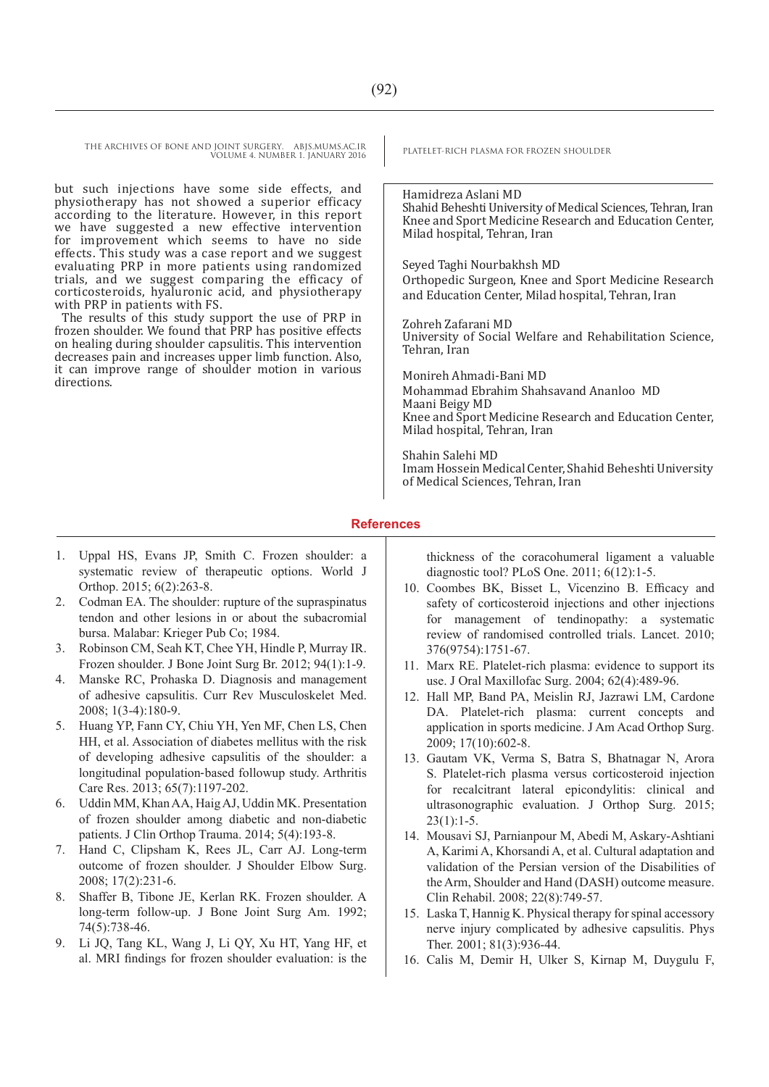THE ARCHIVES OF BONE AND JOINT SURGERY. ABJS.MUMS.AC.IR PLATELET-RICH PLASMA FOR FROZEN SHOULDER VOLUME 4. NUMBER 1. JANUARY 2016

but such injections have some side effects, and physiotherapy has not showed a superior efficacy according to the literature. However, in this report we have suggested a new effective intervention for improvement which seems to have no side effects. This study was a case report and we suggest evaluating PRP in more patients using randomized trials, and we suggest comparing the efficacy of corticosteroids, hyaluronic acid, and physiotherapy with PRP in patients with FS.

The results of this study support the use of PRP in frozen shoulder. We found that PRP has positive effects on healing during shoulder capsulitis. This intervention decreases pain and increases upper limb function. Also, it can improve range of shoulder motion in various directions.

Hamidreza Aslani MD Shahid Beheshti University of Medical Sciences, Tehran, Iran Knee and Sport Medicine Research and Education Center, Milad hospital, Tehran, Iran

Seyed Taghi Nourbakhsh MD

Orthopedic Surgeon, Knee and Sport Medicine Research and Education Center, Milad hospital, Tehran, Iran

Zohreh Zafarani MD University of Social Welfare and Rehabilitation Science, Tehran, Iran

Monireh Ahmadi-Bani MD Mohammad Ebrahim Shahsavand Ananloo MD Maani Beigy MD Knee and Sport Medicine Research and Education Center, Milad hospital, Tehran, Iran

Shahin Salehi MD Imam Hossein Medical Center, Shahid Beheshti University of Medical Sciences, Tehran, Iran

#### **References**

- 1. Uppal HS, Evans JP, Smith C. Frozen shoulder: a systematic review of therapeutic options. World J Orthop. 2015; 6(2):263-8.
- 2. Codman EA. The shoulder: rupture of the supraspinatus tendon and other lesions in or about the subacromial bursa. Malabar: Krieger Pub Co; 1984.
- 3. Robinson CM, Seah KT, Chee YH, Hindle P, Murray IR. Frozen shoulder. J Bone Joint Surg Br. 2012; 94(1):1-9.
- 4. Manske RC, Prohaska D. Diagnosis and management of adhesive capsulitis. Curr Rev Musculoskelet Med. 2008; 1(3-4):180-9.
- 5. Huang YP, Fann CY, Chiu YH, Yen MF, Chen LS, Chen HH, et al. Association of diabetes mellitus with the risk of developing adhesive capsulitis of the shoulder: a longitudinal population‐based followup study. Arthritis Care Res. 2013; 65(7):1197-202.
- 6. Uddin MM, Khan AA, Haig AJ, Uddin MK. Presentation of frozen shoulder among diabetic and non-diabetic patients. J Clin Orthop Trauma. 2014; 5(4):193-8.
- 7. Hand C, Clipsham K, Rees JL, Carr AJ. Long-term outcome of frozen shoulder. J Shoulder Elbow Surg. 2008; 17(2):231-6.
- 8. Shaffer B, Tibone JE, Kerlan RK. Frozen shoulder. A long-term follow-up. J Bone Joint Surg Am. 1992; 74(5):738-46.
- 9. Li JQ, Tang KL, Wang J, Li QY, Xu HT, Yang HF, et al. MRI findings for frozen shoulder evaluation: is the

thickness of the coracohumeral ligament a valuable diagnostic tool? PLoS One. 2011; 6(12):1-5.

- 10. Coombes BK, Bisset L, Vicenzino B. Efficacy and safety of corticosteroid injections and other injections for management of tendinopathy: a systematic review of randomised controlled trials. Lancet. 2010; 376(9754):1751-67.
- 11. Marx RE. Platelet-rich plasma: evidence to support its use. J Oral Maxillofac Surg. 2004; 62(4):489-96.
- 12. Hall MP, Band PA, Meislin RJ, Jazrawi LM, Cardone DA. Platelet-rich plasma: current concepts and application in sports medicine. J Am Acad Orthop Surg. 2009; 17(10):602-8.
- 13. Gautam VK, Verma S, Batra S, Bhatnagar N, Arora S. Platelet-rich plasma versus corticosteroid injection for recalcitrant lateral epicondylitis: clinical and ultrasonographic evaluation. J Orthop Surg. 2015;  $23(1):1-5.$
- 14. Mousavi SJ, Parnianpour M, Abedi M, Askary-Ashtiani A, Karimi A, Khorsandi A, et al. Cultural adaptation and validation of the Persian version of the Disabilities of the Arm, Shoulder and Hand (DASH) outcome measure. Clin Rehabil. 2008; 22(8):749-57.
- 15. Laska T, Hannig K. Physical therapy for spinal accessory nerve injury complicated by adhesive capsulitis. Phys Ther. 2001; 81(3):936-44.
- 16. Calis M, Demir H, Ulker S, Kirnap M, Duygulu F,